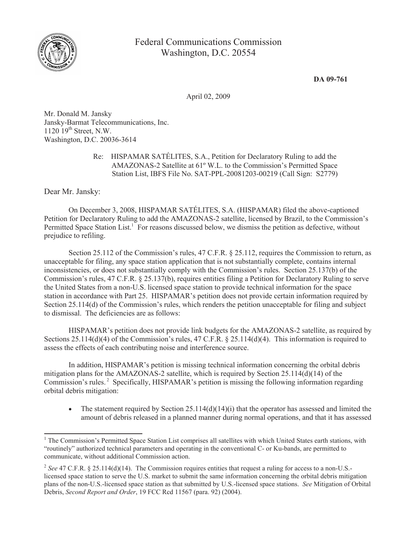

**DA 09-761**

April 02, 2009

Mr. Donald M. Jansky Jansky-Barmat Telecommunications, Inc.  $1120$   $19<sup>th</sup>$  Street, N.W. Washington, D.C. 20036-3614

> Re: HISPAMAR SATÉLITES, S.A., Petition for Declaratory Ruling to add the AMAZONAS-2 Satellite at 61º W.L. to the Commission's Permitted Space Station List, IBFS File No. SAT-PPL-20081203-00219 (Call Sign: S2779)

Dear Mr. Jansky:

On December 3, 2008, HISPAMAR SATÉLITES, S.A. (HISPAMAR) filed the above-captioned Petition for Declaratory Ruling to add the AMAZONAS-2 satellite, licensed by Brazil, to the Commission's Permitted Space Station List.<sup>1</sup> For reasons discussed below, we dismiss the petition as defective, without prejudice to refiling.

Section 25.112 of the Commission's rules, 47 C.F.R. § 25.112, requires the Commission to return, as unacceptable for filing, any space station application that is not substantially complete, contains internal inconsistencies, or does not substantially comply with the Commission's rules. Section 25.137(b) of the Commission's rules, 47 C.F.R. § 25.137(b), requires entities filing a Petition for Declaratory Ruling to serve the United States from a non-U.S. licensed space station to provide technical information for the space station in accordance with Part 25. HISPAMAR's petition does not provide certain information required by Section 25.114(d) of the Commission's rules, which renders the petition unacceptable for filing and subject to dismissal. The deficiencies are as follows:

HISPAMAR's petition does not provide link budgets for the AMAZONAS-2 satellite, as required by Sections 25.114(d)(4) of the Commission's rules, 47 C.F.R. § 25.114(d)(4). This information is required to assess the effects of each contributing noise and interference source.

In addition, HISPAMAR's petition is missing technical information concerning the orbital debris mitigation plans for the AMAZONAS-2 satellite, which is required by Section 25.114(d)(14) of the Commission's rules.<sup>2</sup> Specifically, HISPAMAR's petition is missing the following information regarding orbital debris mitigation:

• The statement required by Section 25.114(d)(14)(i) that the operator has assessed and limited the amount of debris released in a planned manner during normal operations, and that it has assessed

 $1$  The Commission's Permitted Space Station List comprises all satellites with which United States earth stations, with "routinely" authorized technical parameters and operating in the conventional C- or Ku-bands, are permitted to communicate, without additional Commission action.

<sup>&</sup>lt;sup>2</sup> See 47 C.F.R. § 25.114(d)(14). The Commission requires entities that request a ruling for access to a non-U.S.licensed space station to serve the U.S. market to submit the same information concerning the orbital debris mitigation plans of the non-U.S.-licensed space station as that submitted by U.S.-licensed space stations. *See* Mitigation of Orbital Debris, *Second Report and Order*, 19 FCC Rcd 11567 (para. 92) (2004).